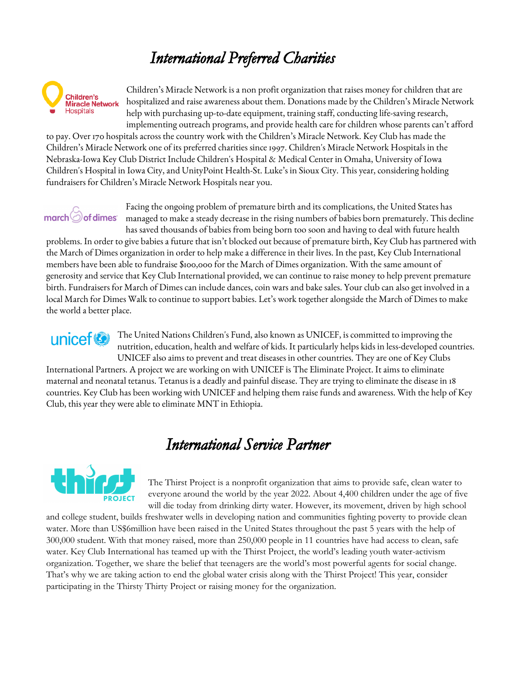# *International Preferred Charities*



Children's Miracle Network is a non profit organization that raises money for children that are hospitalized and raise awareness about them. Donations made by the Children's Miracle Network help with purchasing up-to-date equipment, training staff, conducting life-saving research, implementing outreach programs, and provide health care for children whose parents can't afford

to pay. Over 170 hospitals across the country work with the Children's Miracle Network. Key Club has made the Children's Miracle Network one of its preferred charities since 1997. Children's Miracle Network Hospitals in the Nebraska-Iowa Key Club District Include Children's Hospital & Medical Center in Omaha, University of Iowa Children's Hospital in Iowa City, and UnityPoint Health-St. Luke's in Sioux City. This year, considering holding fundraisers for Children's Miracle Network Hospitals near you.

# $march$  $\odot$  of dimes

Facing the ongoing problem of premature birth and its complications, the United States has managed to make a steady decrease in the rising numbers of babies born prematurely. This decline has saved thousands of babies from being born too soon and having to deal with future health

problems. In order to give babies a future that isn't blocked out because of premature birth, Key Club has partnered with the March of Dimes organization in order to help make a difference in their lives. In the past, Key Club International members have been able to fundraise \$100,000 for the March of Dimes organization. With the same amount of generosity and service that Key Club International provided, we can continue to raise money to help prevent premature birth. Fundraisers for March of Dimes can include dances, coin wars and bake sales. Your club can also get involved in a local March for Dimes Walk to continue to support babies. Let's work together alongside the March of Dimes to make the world a better place.

unicef<sup>®</sup> The United Nations Children's Fund, also known as UNICEF, is committed to improving the nutrition, education, health and welfare of kids. It particularly helps kids in less-developed countries. UNICEF also aims to prevent and treat diseases in other countries. They are one of Key Clubs International Partners. A project we are working on with UNICEF is The Eliminate Project. It aims to eliminate maternal and neonatal tetanus. Tetanus is a deadly and painful disease. They are trying to eliminate the disease in 18 countries. Key Club has been working with UNICEF and helping them raise funds and awareness. With the help of Key

#### *International Service Partner*



Club, this year they were able to eliminate MNT in Ethiopia.

The Thirst Project is a nonprofit organization that aims to provide safe, clean water to everyone around the world by the year 2022. About 4,400 children under the age of five will die today from drinking dirty water. However, its movement, driven by high school

and college student, builds freshwater wells in developing nation and communities fighting poverty to provide clean water. More than US\$6million have been raised in the United States throughout the past 5 years with the help of 300,000 student. With that money raised, more than 250,000 people in 11 countries have had access to clean, safe water. Key Club International has teamed up with the Thirst Project, the world's leading youth water-activism organization. Together, we share the belief that teenagers are the world's most powerful agents for social change. That's why we are taking action to end the global water crisis along with the Thirst Project! This year, consider participating in the Thirsty Thirty Project or raising money for the organization.